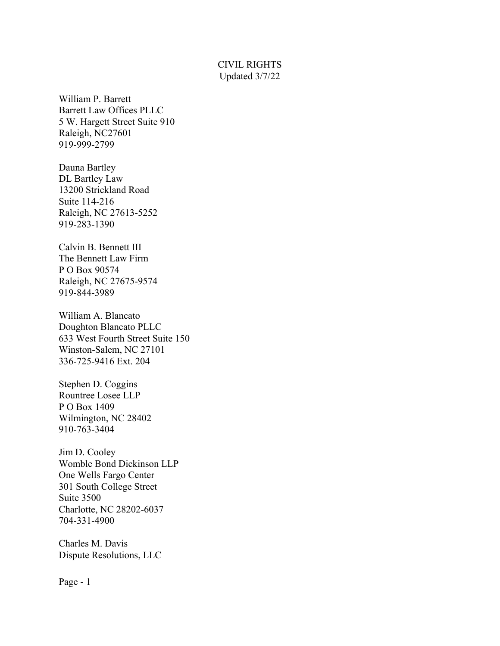## CIVIL RIGHTS Updated 3/7/22

William P. Barrett Barrett Law Offices PLLC 5 W. Hargett Street Suite 910 Raleigh, NC27601 919-999-2799

Dauna Bartley DL Bartley Law 13200 Strickland Road Suite 114-216 Raleigh, NC 27613-5252 919-283-1390

Calvin B. Bennett III The Bennett Law Firm P O Box 90574 Raleigh, NC 27675-9574 919-844-3989

William A. Blancato Doughton Blancato PLLC 633 West Fourth Street Suite 150 Winston-Salem, NC 27101 336-725-9416 Ext. 204

Stephen D. Coggins Rountree Losee LLP P O Box 1409 Wilmington, NC 28402 910-763-3404

Jim D. Cooley Womble Bond Dickinson LLP One Wells Fargo Center 301 South College Street Suite 3500 Charlotte, NC 28202-6037 704-331-4900

Charles M. Davis Dispute Resolutions, LLC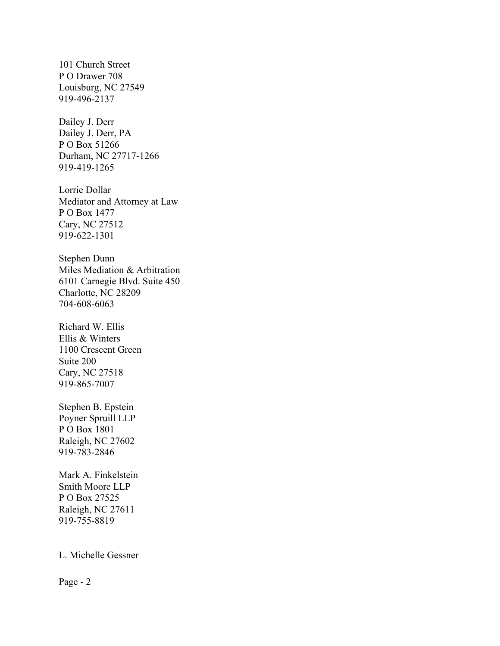101 Church Street P O Drawer 708 Louisburg, NC 27549 919-496-2137

Dailey J. Derr Dailey J. Derr, PA P O Box 51266 Durham, NC 27717-1266 919-419-1265

Lorrie Dollar Mediator and Attorney at Law P O Box 1477 Cary, NC 27512 919-622-1301

Stephen Dunn Miles Mediation & Arbitration 6101 Carnegie Blvd. Suite 450 Charlotte, NC 28209 704-608-6063

Richard W. Ellis Ellis & Winters 1100 Crescent Green Suite 200 Cary, NC 27518 919-865-7007

Stephen B. Epstein Poyner Spruill LLP P O Box 1801 Raleigh, NC 27602 919-783-2846

Mark A. Finkelstein Smith Moore LLP P O Box 27525 Raleigh, NC 27611 919-755-8819

## L. Michelle Gessner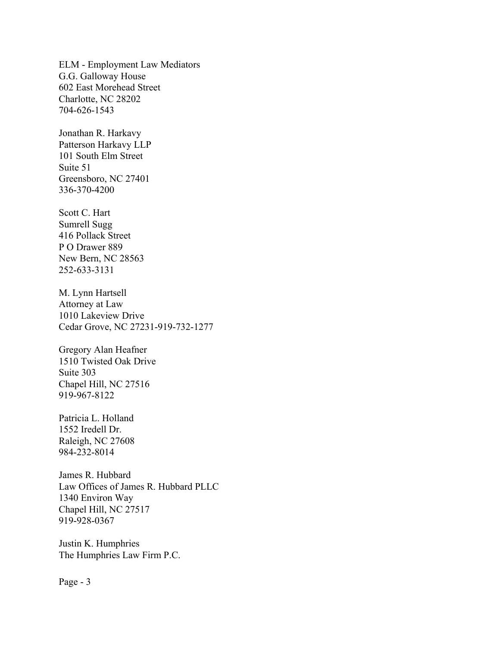ELM - Employment Law Mediators G.G. Galloway House 602 East Morehead Street Charlotte, NC 28202 704-626-1543

Jonathan R. Harkavy Patterson Harkavy LLP 101 South Elm Street Suite 51 Greensboro, NC 27401 336-370-4200

Scott C. Hart Sumrell Sugg 416 Pollack Street P O Drawer 889 New Bern, NC 28563 252-633-3131

M. Lynn Hartsell Attorney at Law 1010 Lakeview Drive Cedar Grove, NC 27231-919-732-1277

Gregory Alan Heafner 1510 Twisted Oak Drive Suite 303 Chapel Hill, NC 27516 919-967-8122

Patricia L. Holland 1552 Iredell Dr. Raleigh, NC 27608 984-232-8014

James R. Hubbard Law Offices of James R. Hubbard PLLC 1340 Environ Way Chapel Hill, NC 27517 919-928-0367

Justin K. Humphries The Humphries Law Firm P.C.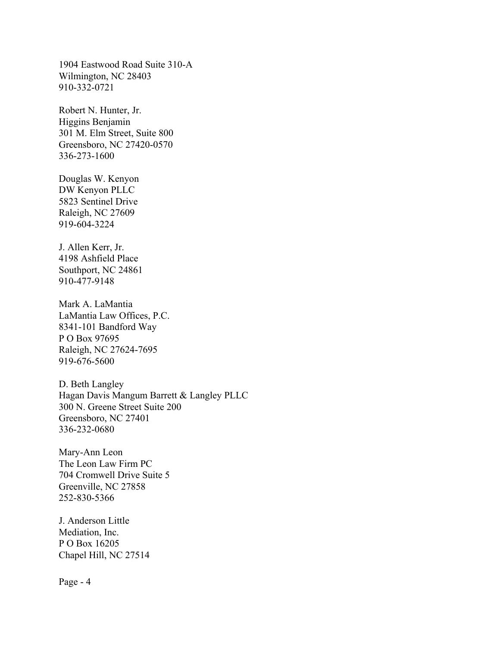1904 Eastwood Road Suite 310-A Wilmington, NC 28403 910-332-0721

Robert N. Hunter, Jr. Higgins Benjamin 301 M. Elm Street, Suite 800 Greensboro, NC 27420-0570 336-273-1600

Douglas W. Kenyon DW Kenyon PLLC 5823 Sentinel Drive Raleigh, NC 27609 919-604-3224

J. Allen Kerr, Jr. 4198 Ashfield Place Southport, NC 24861 910-477-9148

Mark A. LaMantia LaMantia Law Offices, P.C. 8341-101 Bandford Way P O Box 97695 Raleigh, NC 27624-7695 919-676-5600

D. Beth Langley Hagan Davis Mangum Barrett & Langley PLLC 300 N. Greene Street Suite 200 Greensboro, NC 27401 336-232-0680

Mary-Ann Leon The Leon Law Firm PC 704 Cromwell Drive Suite 5 Greenville, NC 27858 252-830-5366

J. Anderson Little Mediation, Inc. P O Box 16205 Chapel Hill, NC 27514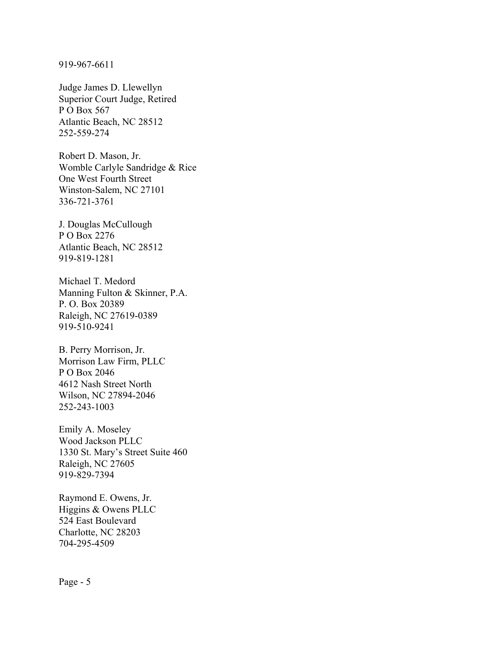919-967-6611

Judge James D. Llewellyn Superior Court Judge, Retired P O Box 567 Atlantic Beach, NC 28512 252-559-274

Robert D. Mason, Jr. Womble Carlyle Sandridge & Rice One West Fourth Street Winston-Salem, NC 27101 336-721-3761

J. Douglas McCullough P O Box 2276 Atlantic Beach, NC 28512 919-819-1281

Michael T. Medord Manning Fulton & Skinner, P.A. P. O. Box 20389 Raleigh, NC 27619-0389 919-510-9241

B. Perry Morrison, Jr. Morrison Law Firm, PLLC P O Box 2046 4612 Nash Street North Wilson, NC 27894-2046 252-243-1003

Emily A. Moseley Wood Jackson PLLC 1330 St. Mary's Street Suite 460 Raleigh, NC 27605 919-829-7394

Raymond E. Owens, Jr. Higgins & Owens PLLC 524 East Boulevard Charlotte, NC 28203 704-295-4509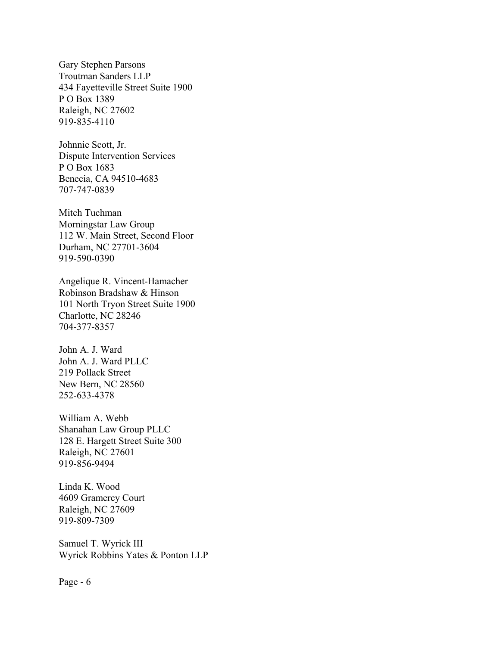Gary Stephen Parsons Troutman Sanders LLP 434 Fayetteville Street Suite 1900 P O Box 1389 Raleigh, NC 27602 919-835-4110

Johnnie Scott, Jr. Dispute Intervention Services P O Box 1683 Benecia, CA 94510-4683 707-747-0839

Mitch Tuchman Morningstar Law Group 112 W. Main Street, Second Floor Durham, NC 27701-3604 919-590-0390

Angelique R. Vincent-Hamacher Robinson Bradshaw & Hinson 101 North Tryon Street Suite 1900 Charlotte, NC 28246 704-377-8357

John A. J. Ward John A. J. Ward PLLC 219 Pollack Street New Bern, NC 28560 252-633-4378

William A. Webb Shanahan Law Group PLLC 128 E. Hargett Street Suite 300 Raleigh, NC 27601 919-856-9494

Linda K. Wood 4609 Gramercy Court Raleigh, NC 27609 919-809-7309

Samuel T. Wyrick III Wyrick Robbins Yates & Ponton LLP